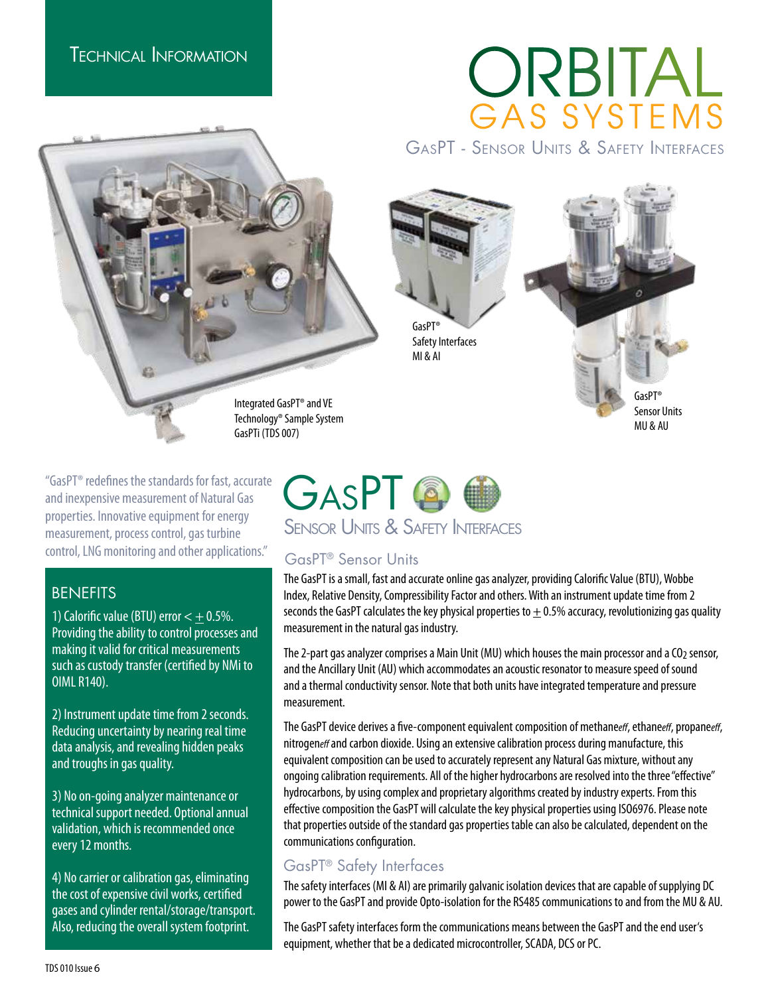# ORBITAL<br>GAS SYSTEMS

GasPT - Sensor Units & Safety Interfaces





Integrated GasPT® and VE Technology® Sample System GasPTi (TDS 007)

"GasPT® redefines the standards for fast, accurate and inexpensive measurement of Natural Gas properties. Innovative equipment for energy measurement, process control, gas turbine control, LNG monitoring and other applications."

#### **BENEFITS**

1) Calorific value (BTU) error  $< \pm 0.5$ %. Providing the ability to control processes and making it valid for critical measurements such as custody transfer (certified by NMi to OIML R140).

2) Instrument update time from 2 seconds. Reducing uncertainty by nearing real time data analysis, and revealing hidden peaks and troughs in gas quality.

3) No on-going analyzer maintenance or technical support needed. Optional annual validation, which is recommended once every 12 months.

4) No carrier or calibration gas, eliminating the cost of expensive civil works, certified gases and cylinder rental/storage/transport. Also, reducing the overall system footprint.



### GasPT® Sensor Units

The GasPT is a small, fast and accurate online gas analyzer, providing Calorific Value (BTU), Wobbe Index, Relative Density, Compressibility Factor and others. With an instrument update time from 2 seconds the GasPT calculates the key physical properties to  $\pm$  0.5% accuracy, revolutionizing gas quality measurement in the natural gas industry.

The 2-part gas analyzer comprises a Main Unit (MU) which houses the main processor and a CO<sub>2</sub> sensor, and the Ancillary Unit (AU) which accommodates an acoustic resonator to measure speed of sound and a thermal conductivity sensor. Note that both units have integrated temperature and pressure measurement.

The GasPT device derives a five-component equivalent composition of methane*eff*, ethane*eff*, propane*eff*, nitrogen*eff* and carbon dioxide. Using an extensive calibration process during manufacture, this equivalent composition can be used to accurately represent any Natural Gas mixture, without any ongoing calibration requirements. All of the higher hydrocarbons are resolved into the three "effective" hydrocarbons, by using complex and proprietary algorithms created by industry experts. From this effective composition the GasPT will calculate the key physical properties using ISO6976. Please note that properties outside of the standard gas properties table can also be calculated, dependent on the communications configuration.

#### GasPT® Safety Interfaces

The safety interfaces (MI & AI) are primarily galvanic isolation devices that are capable of supplying DC power to the GasPT and provide Opto-isolation for the RS485 communications to and from the MU & AU.

The GasPT safety interfaces form the communications means between the GasPT and the end user's equipment, whether that be a dedicated microcontroller, SCADA, DCS or PC.